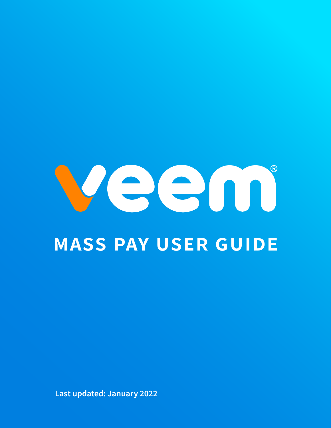

# **mass pay user guide**

**Last updated: January 2022**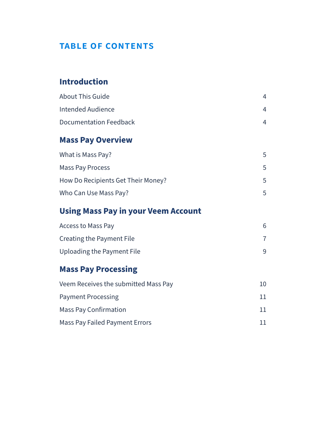#### **table of contents**

#### **I[ntroduction](#page-3-0)**

| <b>About This Guide</b> |   |
|-------------------------|---|
| Intended Audience       | 4 |
| Documentation Feedback  |   |
|                         |   |

#### **[Mass Pay Overview](#page-4-0)**

| What is Mass Pay?                  | 5  |
|------------------------------------|----|
| <b>Mass Pay Process</b>            | 5. |
| How Do Recipients Get Their Money? | 5. |
| Who Can Use Mass Pay?              |    |

### **U[sing Mass Pay in your Veem Account](#page-5-0)**

| Access to Mass Pay         |  |
|----------------------------|--|
| Creating the Payment File  |  |
| Uploading the Payment File |  |

#### **[Mass Pay Processing](#page-9-0)**

| Veem Receives the submitted Mass Pay  | 10 |
|---------------------------------------|----|
| <b>Payment Processing</b>             | 11 |
| <b>Mass Pay Confirmation</b>          | 11 |
| <b>Mass Pay Failed Payment Errors</b> | 11 |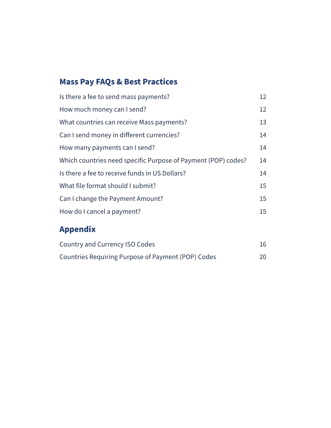# **[Mass Pay FAQs & Best Practices](#page-11-0)**

| Is there a fee to send mass payments?                         | 12 |
|---------------------------------------------------------------|----|
| How much money can I send?                                    | 12 |
| What countries can receive Mass payments?                     | 13 |
| Can I send money in different currencies?                     | 14 |
| How many payments can I send?                                 | 14 |
| Which countries need specific Purpose of Payment (POP) codes? | 14 |
| Is there a fee to receive funds in US Dollars?                | 14 |
| What file format should I submit?                             | 15 |
| Can I change the Payment Amount?                              | 15 |
| How do I cancel a payment?                                    | 15 |
|                                                               |    |

### **[Appendix](#page-15-0)**

| Country and Currency ISO Codes                     | 16 |
|----------------------------------------------------|----|
| Countries Requiring Purpose of Payment (POP) Codes | 20 |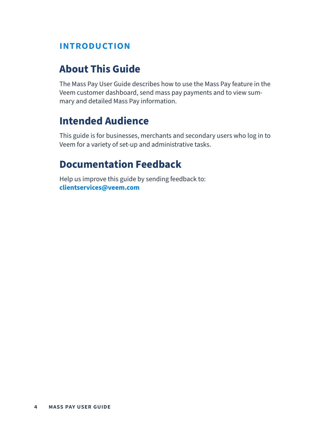#### <span id="page-3-0"></span>**introduction**

### **About This Guide**

The Mass Pay User Guide describes how to use the Mass Pay feature in the Veem customer dashboard, send mass pay payments and to view summary and detailed Mass Pay information.

### **Intended Audience**

This guide is for businesses, merchants and secondary users who log in to Veem for a variety of set-up and administrative tasks.

### **Documentation Feedback**

Help us improve this guide by sending feedback to: **clientservices@veem.com**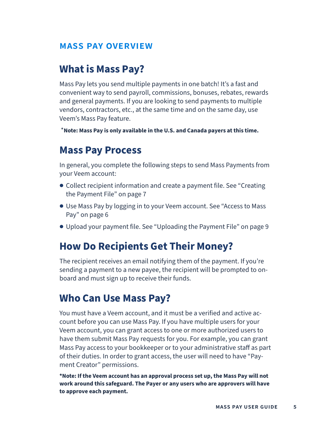#### <span id="page-4-0"></span>**mass pay overview**

### **What is Mass Pay?**

Mass Pay lets you send multiple payments in one batch! It's a fast and convenient way to send payroll, commissions, bonuses, rebates, rewards and general payments. If you are looking to send payments to multiple vendors, contractors, etc., at the same time and on the same day, use Veem's Mass Pay feature.

\***Note: Mass Pay is only available in the U.S. and Canada payers at this time.** 

### **Mass Pay Process**

In general, you complete the following steps to send Mass Payments from your Veem account:

- **●** Collect recipient information and create a payment file. See "Creating the Payment File" on page 7
- **●** Use Mass Pay by logging in to your Veem account. See "Access to Mass Pay" on page 6
- **●** Upload your payment file. See "Uploading the Payment File" on page 9

#### **How Do Recipients Get Their Money?**

The recipient receives an email notifying them of the payment. If you're sending a payment to a new payee, the recipient will be prompted to onboard and must sign up to receive their funds.

### **Who Can Use Mass Pay?**

You must have a Veem account, and it must be a verified and active account before you can use Mass Pay. If you have multiple users for your Veem account, you can grant access to one or more authorized users to have them submit Mass Pay requests for you. For example, you can grant Mass Pay access to your bookkeeper or to your administrative staff as part of their duties. In order to grant access, the user will need to have "Payment Creator" permissions.

**\*Note: If the Veem account has an approval process set up, the Mass Pay will not work around this safeguard. The Payer or any users who are approvers will have to approve each payment.**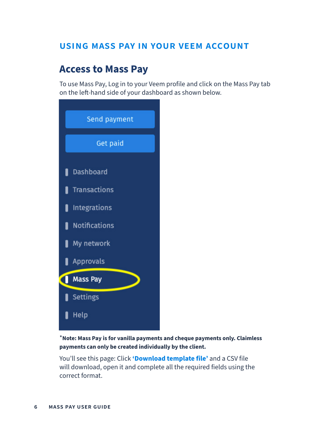#### <span id="page-5-0"></span>**using mass pay in your veem account**

### **Access to Mass Pay**

To use Mass Pay, Log in to your Veem profile and click on the Mass Pay tab on the left-hand side of your dashboard as shown below.

| Send payment              |  |
|---------------------------|--|
| Get paid                  |  |
| <b>Dashboard</b>          |  |
| <b>Transactions</b>       |  |
| <b>Integrations</b><br>I  |  |
| <b>Notifications</b><br>H |  |
| My network                |  |
| Approvals                 |  |
| <b>Mass Pay</b>           |  |
| Settings                  |  |
|                           |  |

\***Note: Mass Pay is for vanilla payments and cheque payments only. Claimless payments can only be created individually by the client.** 

You'll see this page: Click **'Download template file'** and a CSV file will download, open it and complete all the required fields using the correct format.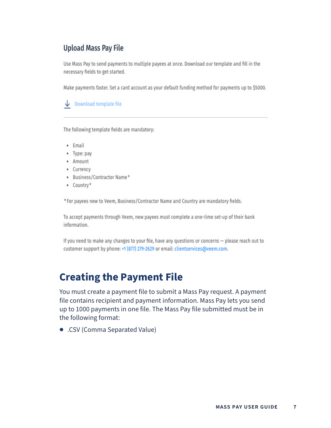#### <span id="page-6-0"></span>**Upload Mass Pay File**

Use Mass Pay to send payments to multiple payees at once. Download our template and fill in the necessary fields to get started.

Make payments faster. Set a card account as your default funding method for payments up to \$5000.

Download template file

The following template fields are mandatory:

- · Email
- · Type: pay
- · Amount
- · Currency
- Business/Contractor Name\*
- Country\*

\* For payees new to Veem, Business/Contractor Name and Country are mandatory fields.

To accept payments through Veem, new payees must complete a one-time set-up of their bank information.

If you need to make any changes to your file, have any questions or concerns - please reach out to customer support by phone: +1 (877) 279-2629 or email: clientservices@veem.com.

### **Creating the Payment File**

You must create a payment file to submit a Mass Pay request. A payment file contains recipient and payment information. Mass Pay lets you send up to 1000 payments in one file. The Mass Pay file submitted must be in the following format:

**●** .CSV (Comma Separated Value)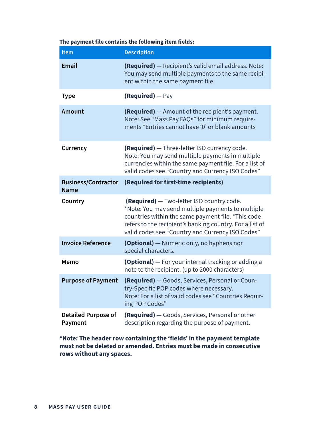#### **The payment file contains the following item fields:**

| Item                                      | <b>Description</b>                                                                                                                                                                                                                                                   |
|-------------------------------------------|----------------------------------------------------------------------------------------------------------------------------------------------------------------------------------------------------------------------------------------------------------------------|
| <b>Email</b>                              | (Required) - Recipient's valid email address. Note:<br>You may send multiple payments to the same recipi-<br>ent within the same payment file.                                                                                                                       |
| <b>Type</b>                               | (Required) - Pay                                                                                                                                                                                                                                                     |
| <b>Amount</b>                             | <b>(Required)</b> - Amount of the recipient's payment.<br>Note: See "Mass Pay FAQs" for minimum require-<br>ments *Entries cannot have '0' or blank amounts                                                                                                          |
| Currency                                  | (Required) - Three-letter ISO currency code.<br>Note: You may send multiple payments in multiple<br>currencies within the same payment file. For a list of<br>valid codes see "Country and Currency ISO Codes"                                                       |
| <b>Business/Contractor</b><br><b>Name</b> | (Required for first-time recipients)                                                                                                                                                                                                                                 |
| Country                                   | (Required) - Two-letter ISO country code.<br>*Note: You may send multiple payments to multiple<br>countries within the same payment file. *This code<br>refers to the recipient's banking country. For a list of<br>valid codes see "Country and Currency ISO Codes" |
| <b>Invoice Reference</b>                  | <b>(Optional)</b> - Numeric only, no hyphens nor<br>special characters.                                                                                                                                                                                              |
| Memo                                      | <b>(Optional)</b> - For your internal tracking or adding a<br>note to the recipient. (up to 2000 characters)                                                                                                                                                         |
| <b>Purpose of Payment</b>                 | (Required) - Goods, Services, Personal or Coun-<br>try-Specific POP codes where necessary.<br>Note: For a list of valid codes see "Countries Requir-<br>ing POP Codes"                                                                                               |
| <b>Detailed Purpose of</b><br>Payment     | (Required) - Goods, Services, Personal or other<br>description regarding the purpose of payment.                                                                                                                                                                     |

**\*Note: The header row containing the 'fields' in the payment template must not be deleted or amended. Entries must be made in consecutive rows without any spaces.**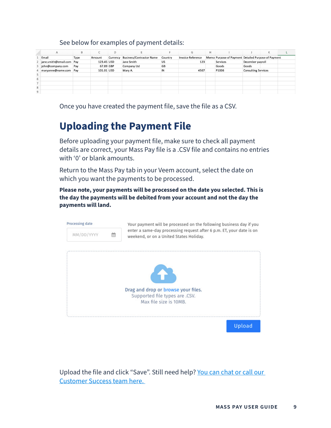#### See below for examples of payment details:

<span id="page-8-0"></span>

|   | A                        | B    | Ċ          | D        |                                 |         | G                        | н |                                                     |                            | K |  |
|---|--------------------------|------|------------|----------|---------------------------------|---------|--------------------------|---|-----------------------------------------------------|----------------------------|---|--|
|   | Email                    | Type | Amount     | Currency | <b>Business/Contractor Name</b> | Country | <b>Invoice Reference</b> |   | Memo Purpose of Payment Detailed Purpose of Payment |                            |   |  |
|   | jane.smith@email.com Pay |      | 123.45 USD |          | Jane Smith                      | US      | 123                      |   | Services                                            | December payroll           |   |  |
| 3 | john@company.com         | Pay  | 67.89 GBP  |          | Company Ltd                     | GB      |                          |   | Goods                                               | Goods                      |   |  |
|   | maryanne@name.com Pay    |      | 101.01 USD |          | Mary A.                         | IN      | 4567                     |   | P1006                                               | <b>Consulting Services</b> |   |  |
| 5 |                          |      |            |          |                                 |         |                          |   |                                                     |                            |   |  |
| 6 |                          |      |            |          |                                 |         |                          |   |                                                     |                            |   |  |
|   |                          |      |            |          |                                 |         |                          |   |                                                     |                            |   |  |
| 8 |                          |      |            |          |                                 |         |                          |   |                                                     |                            |   |  |
| 9 |                          |      |            |          |                                 |         |                          |   |                                                     |                            |   |  |

Once you have created the payment file, save the file as a CSV.

# **Uploading the Payment File**

Before uploading your payment file, make sure to check all payment details are correct, your Mass Pay file is a .CSV file and contains no entries with '0' or blank amounts.

Return to the Mass Pay tab in your Veem account, select the date on which you want the payments to be processed.

**Please note, your payments will be processed on the date you selected. This is the day the payments will be debited from your account and not the day the payments will land.** 



Upload the file and click "Save". Still need help? You can chat or call our [Customer Success team here.](https://www.veem.com/contact/)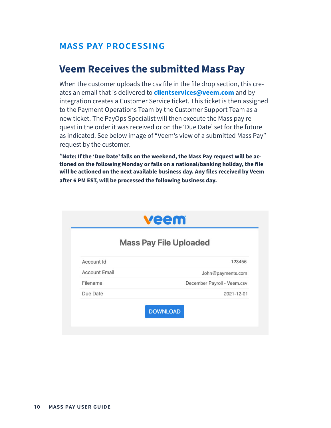#### <span id="page-9-0"></span>**mass pay processing**

#### **Veem Receives the submitted Mass Pay**

When the customer uploads the csv file in the file drop section, this creates an email that is delivered to **clientservices@veem.com** and by integration creates a Customer Service ticket. This ticket is then assigned to the Payment Operations Team by the Customer Support Team as a new ticket. The PayOps Specialist will then execute the Mass pay request in the order it was received or on the 'Due Date' set for the future as indicated. See below image of "Veem's view of a submitted Mass Pay" request by the customer.

\***Note: If the 'Due Date' falls on the weekend, the Mass Pay request will be actioned on the following Monday or falls on a national/banking holiday, the file will be actioned on the next available business day. Any files received by Veem after 6 PM EST, will be processed the following business day.** 

|                      | <b>Mass Pay File Uploaded</b> |
|----------------------|-------------------------------|
| Account Id           | 123456                        |
| <b>Account Email</b> | John@payments.com             |
| Filename             | December Payroll - Veem.csv   |
| Due Date             | 2021-12-01                    |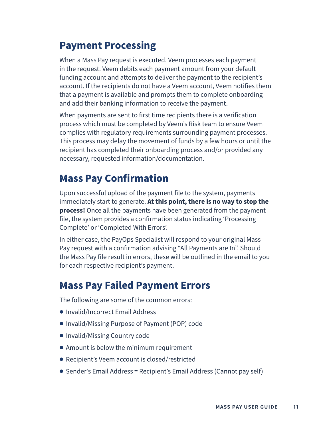### <span id="page-10-0"></span>**Payment Processing**

When a Mass Pay request is executed, Veem processes each payment in the request. Veem debits each payment amount from your default funding account and attempts to deliver the payment to the recipient's account. If the recipients do not have a Veem account, Veem notifies them that a payment is available and prompts them to complete onboarding and add their banking information to receive the payment.

When payments are sent to first time recipients there is a verification process which must be completed by Veem's Risk team to ensure Veem complies with regulatory requirements surrounding payment processes. This process may delay the movement of funds by a few hours or until the recipient has completed their onboarding process and/or provided any necessary, requested information/documentation.

### **Mass Pay Confirmation**

Upon successful upload of the payment file to the system, payments immediately start to generate. **At this point, there is no way to stop the process!** Once all the payments have been generated from the payment file, the system provides a confirmation status indicating 'Processing Complete' or 'Completed With Errors'.

In either case, the PayOps Specialist will respond to your original Mass Pay request with a confirmation advising "All Payments are In". Should the Mass Pay file result in errors, these will be outlined in the email to you for each respective recipient's payment.

### **Mass Pay Failed Payment Errors**

The following are some of the common errors:

- **●** Invalid/Incorrect Email Address
- **●** Invalid/Missing Purpose of Payment (POP) code
- **●** Invalid/Missing Country code
- **●** Amount is below the minimum requirement
- **●** Recipient's Veem account is closed/restricted
- **●** Sender's Email Address = Recipient's Email Address (Cannot pay self)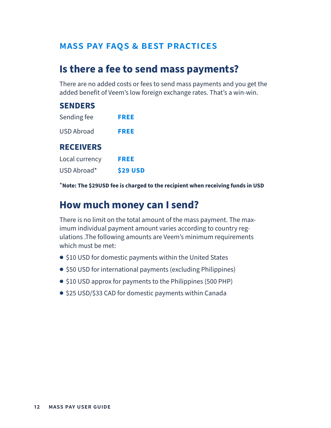#### <span id="page-11-0"></span>**mass pay faqs & best practices**

### **Is there a fee to send mass payments?**

There are no added costs or fees to send mass payments and you get the added benefit of Veem's low foreign exchange rates. That's a win-win.

| <b>SENDERS</b>    |             |
|-------------------|-------------|
| Sending fee       | <b>FREE</b> |
| <b>USD Abroad</b> | <b>FREE</b> |
| <b>RECEIVERS</b>  |             |
| Local currency    | <b>FREE</b> |
| USD Abroad*       | \$29 USD    |

\***Note: The \$29USD fee is charged to the recipient when receiving funds in USD** 

#### **How much money can I send?**

There is no limit on the total amount of the mass payment. The maximum individual payment amount varies according to country regulations .The following amounts are Veem's minimum requirements which must be met:

- **●** \$10 USD for domestic payments within the United States
- **●** \$50 USD for international payments (excluding Philippines)
- **●** \$10 USD approx for payments to the Philippines (500 PHP)
- **●** \$25 USD/\$33 CAD for domestic payments within Canada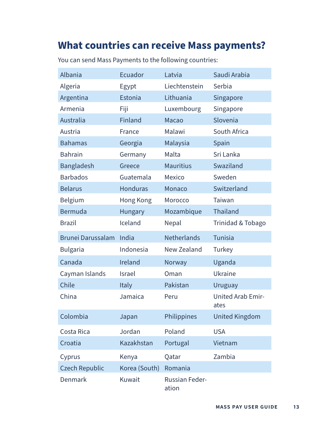# <span id="page-12-0"></span>**What countries can receive Mass payments?**

| Albania                  | Ecuador         | Latvia                         | Saudi Arabia                     |
|--------------------------|-----------------|--------------------------------|----------------------------------|
| Algeria                  | Egypt           | Liechtenstein                  | Serbia                           |
| Argentina                | Estonia         | Lithuania                      | Singapore                        |
| Armenia                  | Fiji            | Luxembourg                     | Singapore                        |
| Australia                | Finland         | Macao                          | Slovenia                         |
| Austria                  | France          | Malawi                         | South Africa                     |
| <b>Bahamas</b>           | Georgia         | Malaysia                       | Spain                            |
| <b>Bahrain</b>           | Germany         | Malta                          | Sri Lanka                        |
| <b>Bangladesh</b>        | Greece          | <b>Mauritius</b>               | Swaziland                        |
| <b>Barbados</b>          | Guatemala       | <b>Mexico</b>                  | Sweden                           |
| <b>Belarus</b>           | <b>Honduras</b> | Monaco                         | Switzerland                      |
| Belgium                  | Hong Kong       | Morocco                        | Taiwan                           |
| Bermuda                  | Hungary         | Mozambique                     | <b>Thailand</b>                  |
| <b>Brazil</b>            | Iceland         | Nepal                          | Trinidad & Tobago                |
| <b>Brunei Darussalam</b> | India           | <b>Netherlands</b>             | <b>Tunisia</b>                   |
| <b>Bulgaria</b>          | Indonesia       | <b>New Zealand</b>             | Turkey                           |
| Canada                   | Ireland         | Norway                         | Uganda                           |
| Cayman Islands           | <b>Israel</b>   | Oman                           | Ukraine                          |
| Chile                    | Italy           | Pakistan                       | <b>Uruguay</b>                   |
| China                    | Jamaica         | Peru                           | <b>United Arab Emir-</b><br>ates |
| Colombia                 | Japan           | Philippines                    | <b>United Kingdom</b>            |
| Costa Rica               | Jordan          | Poland                         | <b>USA</b>                       |
| Croatia                  | Kazakhstan      | Portugal                       | Vietnam                          |
| Cyprus                   | Kenya           | Qatar                          | Zambia                           |
| <b>Czech Republic</b>    | Korea (South)   | Romania                        |                                  |
| Denmark                  | Kuwait          | <b>Russian Feder-</b><br>ation |                                  |

You can send Mass Payments to the following countries: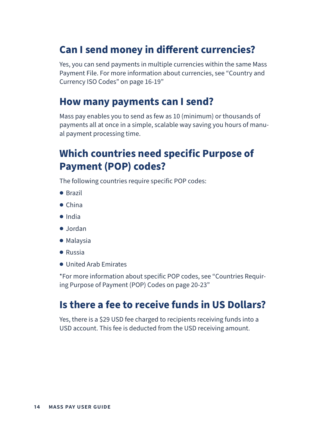### <span id="page-13-0"></span>**Can I send money in different currencies?**

Yes, you can send payments in multiple currencies within the same Mass Payment File. For more information about currencies, see "Country and Currency ISO Codes" on page 16-19"

#### **How many payments can I send?**

Mass pay enables you to send as few as 10 (minimum) or thousands of payments all at once in a simple, scalable way saving you hours of manual payment processing time.

### **Which countries need specific Purpose of Payment (POP) codes?**

The following countries require specific POP codes:

- **●** Brazil
- **●** China
- **●** India
- **●** Jordan
- **●** Malaysia
- **●** Russia
- **●** United Arab Emirates

\*For more information about specific POP codes, see "Countries Requiring Purpose of Payment (POP) Codes on page 20-23"

#### **Is there a fee to receive funds in US Dollars?**

Yes, there is a \$29 USD fee charged to recipients receiving funds into a USD account. This fee is deducted from the USD receiving amount.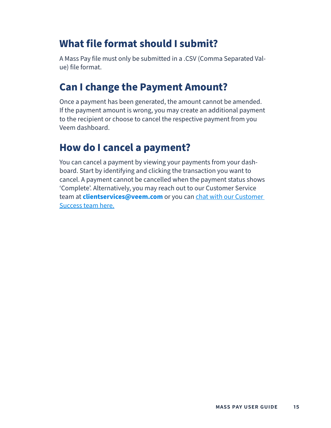### <span id="page-14-0"></span>**What file format should I submit?**

A Mass Pay file must only be submitted in a .CSV (Comma Separated Value) file format.

### **Can I change the Payment Amount?**

Once a payment has been generated, the amount cannot be amended. If the payment amount is wrong, you may create an additional payment to the recipient or choose to cancel the respective payment from you Veem dashboard.

### **How do I cancel a payment?**

You can cancel a payment by viewing your payments from your dashboard. Start by identifying and clicking the transaction you want to cancel. A payment cannot be cancelled when the payment status shows 'Complete'. Alternatively, you may reach out to our Customer Service team at **clientservices@veem.com** or you can [chat with our Customer](https://www.veem.com/contact/)  [Success team here.](https://www.veem.com/contact/)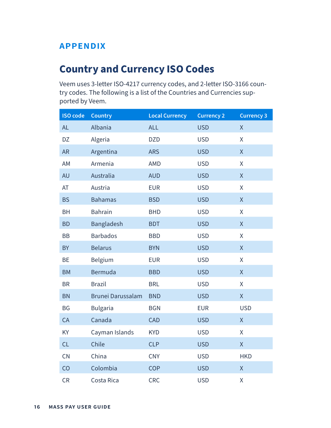#### <span id="page-15-0"></span>**appendix**

### **Country and Currency ISO Codes**

Veem uses 3-letter ISO-4217 currency codes, and 2-letter ISO-3166 country codes. The following is a list of the Countries and Currencies supported by Veem.

| <b>ISO code</b> | <b>Country</b>           | <b>Local Currency</b> | <b>Currency 2</b> | <b>Currency 3</b>  |
|-----------------|--------------------------|-----------------------|-------------------|--------------------|
| <b>AL</b>       | Albania                  | <b>ALL</b>            | <b>USD</b>        | $\mathsf{X}% _{0}$ |
| DZ              | Algeria                  | <b>DZD</b>            | <b>USD</b>        | X                  |
| <b>AR</b>       | Argentina                | <b>ARS</b>            | <b>USD</b>        | $\mathsf{X}% _{0}$ |
| AM              | Armenia                  | <b>AMD</b>            | <b>USD</b>        | X                  |
| <b>AU</b>       | Australia                | <b>AUD</b>            | <b>USD</b>        | $\mathsf{X}% _{0}$ |
| AT              | Austria                  | <b>EUR</b>            | <b>USD</b>        | Χ                  |
| <b>BS</b>       | <b>Bahamas</b>           | <b>BSD</b>            | <b>USD</b>        | $\mathsf{X}% _{0}$ |
| <b>BH</b>       | <b>Bahrain</b>           | <b>BHD</b>            | <b>USD</b>        | X                  |
| <b>BD</b>       | Bangladesh               | <b>BDT</b>            | <b>USD</b>        | $\mathsf X$        |
| <b>BB</b>       | <b>Barbados</b>          | <b>BBD</b>            | <b>USD</b>        | X                  |
| <b>BY</b>       | <b>Belarus</b>           | <b>BYN</b>            | <b>USD</b>        | $\overline{X}$     |
| <b>BE</b>       | Belgium                  | <b>EUR</b>            | <b>USD</b>        | X                  |
| <b>BM</b>       | Bermuda                  | <b>BBD</b>            | <b>USD</b>        | $\mathsf{X}% _{0}$ |
| <b>BR</b>       | <b>Brazil</b>            | <b>BRL</b>            | <b>USD</b>        | X                  |
| <b>BN</b>       | <b>Brunei Darussalam</b> | <b>BND</b>            | <b>USD</b>        | $\mathsf X$        |
| <b>BG</b>       | <b>Bulgaria</b>          | <b>BGN</b>            | <b>EUR</b>        | <b>USD</b>         |
| CA              | Canada                   | <b>CAD</b>            | <b>USD</b>        | $\mathsf{X}% _{0}$ |
| KY              | Cayman Islands           | <b>KYD</b>            | <b>USD</b>        | X                  |
| CL              | Chile                    | <b>CLP</b>            | <b>USD</b>        | $\mathsf{X}$       |
| CN              | China                    | <b>CNY</b>            | <b>USD</b>        | <b>HKD</b>         |
| CO              | Colombia                 | <b>COP</b>            | <b>USD</b>        | $\mathsf{X}% _{0}$ |
| <b>CR</b>       | Costa Rica               | <b>CRC</b>            | <b>USD</b>        | Χ                  |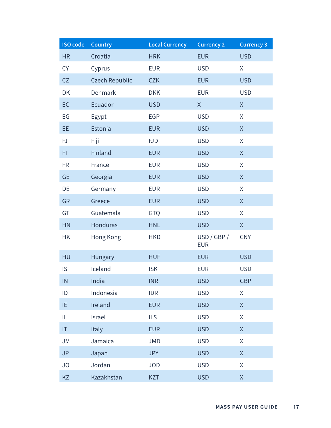| <b>ISO code</b> | <b>Country</b>        | <b>Local Currency</b> | <b>Currency 2</b>         | <b>Currency 3</b>  |
|-----------------|-----------------------|-----------------------|---------------------------|--------------------|
| <b>HR</b>       | Croatia               | <b>HRK</b>            | <b>EUR</b>                | <b>USD</b>         |
| <b>CY</b>       | Cyprus                | <b>EUR</b>            | <b>USD</b>                | X                  |
| CZ              | <b>Czech Republic</b> | <b>CZK</b>            | <b>EUR</b>                | <b>USD</b>         |
| <b>DK</b>       | Denmark               | <b>DKK</b>            | <b>EUR</b>                | <b>USD</b>         |
| EC              | Ecuador               | <b>USD</b>            | X                         | X                  |
| EG              | Egypt                 | <b>EGP</b>            | <b>USD</b>                | X                  |
| EE              | Estonia               | <b>EUR</b>            | <b>USD</b>                | $\sf X$            |
| <b>FJ</b>       | Fiji                  | <b>FJD</b>            | <b>USD</b>                | X                  |
| FI.             | Finland               | <b>EUR</b>            | <b>USD</b>                | $\sf X$            |
| <b>FR</b>       | France                | <b>EUR</b>            | <b>USD</b>                | X                  |
| <b>GE</b>       | Georgia               | <b>EUR</b>            | <b>USD</b>                | $\mathsf X$        |
| DE              | Germany               | <b>EUR</b>            | <b>USD</b>                | X                  |
| <b>GR</b>       | Greece                | <b>EUR</b>            | <b>USD</b>                | $\sf X$            |
| GT              | Guatemala             | GTQ                   | <b>USD</b>                | X                  |
| HN              | Honduras              | <b>HNL</b>            | <b>USD</b>                | $\mathsf{X}% _{0}$ |
| <b>HK</b>       | Hong Kong             | <b>HKD</b>            | USD / GBP /<br><b>EUR</b> | <b>CNY</b>         |
| HU              | Hungary               | <b>HUF</b>            | <b>EUR</b>                | <b>USD</b>         |
| IS              | Iceland               | <b>ISK</b>            | <b>EUR</b>                | <b>USD</b>         |
| IN              | India                 | <b>INR</b>            | <b>USD</b>                | <b>GBP</b>         |
| ID              | Indonesia             | <b>IDR</b>            | <b>USD</b>                | $\mathsf{X}% _{0}$ |
| IE              | Ireland               | <b>EUR</b>            | <b>USD</b>                | X                  |
| IL              | Israel                | <b>ILS</b>            | <b>USD</b>                | X                  |
| T               | Italy                 | <b>EUR</b>            | <b>USD</b>                | $\mathsf X$        |
| JM              | Jamaica               | <b>JMD</b>            | <b>USD</b>                | X                  |
| <b>JP</b>       | Japan                 | <b>JPY</b>            | <b>USD</b>                | $\mathsf{X}% _{0}$ |
| <b>JO</b>       | Jordan                | <b>JOD</b>            | <b>USD</b>                | X                  |
| KZ              | Kazakhstan            | <b>KZT</b>            | <b>USD</b>                | $\mathsf X$        |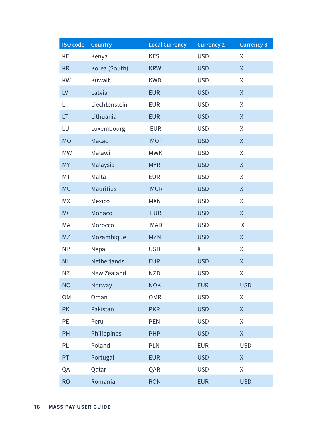| <b>ISO code</b> | <b>Country</b>   | <b>Local Currency</b> | <b>Currency 2</b> | <b>Currency 3</b>                                   |
|-----------------|------------------|-----------------------|-------------------|-----------------------------------------------------|
| KE              | Kenya            | <b>KES</b>            | <b>USD</b>        | Χ                                                   |
| <b>KR</b>       | Korea (South)    | <b>KRW</b>            | <b>USD</b>        | $\sf X$                                             |
| KW              | Kuwait           | <b>KWD</b>            | <b>USD</b>        | X                                                   |
| LV              | Latvia           | <b>EUR</b>            | <b>USD</b>        | $\sf X$                                             |
| LI              | Liechtenstein    | <b>EUR</b>            | <b>USD</b>        | X                                                   |
| LT              | Lithuania        | <b>EUR</b>            | <b>USD</b>        | $\sf X$                                             |
| LU              | Luxembourg       | <b>EUR</b>            | <b>USD</b>        | Χ                                                   |
| <b>MO</b>       | Macao            | <b>MOP</b>            | <b>USD</b>        | $\sf X$                                             |
| <b>MW</b>       | Malawi           | <b>MWK</b>            | <b>USD</b>        | Χ                                                   |
| <b>MY</b>       | Malaysia         | <b>MYR</b>            | <b>USD</b>        | $\sf X$                                             |
| <b>MT</b>       | Malta            | <b>EUR</b>            | <b>USD</b>        | Χ                                                   |
| <b>MU</b>       | <b>Mauritius</b> | <b>MUR</b>            | <b>USD</b>        | X                                                   |
| <b>MX</b>       | Mexico           | <b>MXN</b>            | <b>USD</b>        | X                                                   |
| <b>MC</b>       | Monaco           | <b>EUR</b>            | <b>USD</b>        | $\mathsf{X}% _{0}$                                  |
| MA              | Morocco          | <b>MAD</b>            | <b>USD</b>        | $\pmb{\mathsf{X}}$                                  |
| <b>MZ</b>       | Mozambique       | <b>MZN</b>            | <b>USD</b>        | $\sf X$                                             |
| <b>NP</b>       | Nepal            | <b>USD</b>            | X                 | X                                                   |
| <b>NL</b>       | Netherlands      | <b>EUR</b>            | <b>USD</b>        | X                                                   |
| ΝZ              | New Zealand      | <b>NZD</b>            | <b>USD</b>        | Χ                                                   |
| <b>NO</b>       | Norway           | <b>NOK</b>            | <b>EUR</b>        | <b>USD</b>                                          |
| <b>OM</b>       | Oman             | <b>OMR</b>            | <b>USD</b>        | Χ                                                   |
| <b>PK</b>       | Pakistan         | <b>PKR</b>            | <b>USD</b>        | X                                                   |
| PE              | Peru             | <b>PEN</b>            | <b>USD</b>        | X                                                   |
| PH              | Philippines      | <b>PHP</b>            | <b>USD</b>        | $\mathsf X$                                         |
| PL              | Poland           | <b>PLN</b>            | <b>EUR</b>        | <b>USD</b>                                          |
| PT              | Portugal         | <b>EUR</b>            | <b>USD</b>        | $\mathsf{X}% _{0}^{\prime}=\mathsf{X}_{0}^{\prime}$ |
| QA              | Qatar            | QAR                   | <b>USD</b>        | X                                                   |
| <b>RO</b>       | Romania          | <b>RON</b>            | <b>EUR</b>        | <b>USD</b>                                          |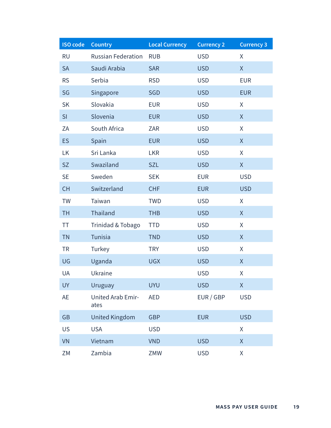| <b>ISO code</b> | <b>Country</b>            | <b>Local Currency</b> | <b>Currency 2</b> | <b>Currency 3</b>                                   |
|-----------------|---------------------------|-----------------------|-------------------|-----------------------------------------------------|
| <b>RU</b>       | <b>Russian Federation</b> | <b>RUB</b>            | <b>USD</b>        | Χ                                                   |
| <b>SA</b>       | Saudi Arabia              | <b>SAR</b>            | <b>USD</b>        | X                                                   |
| <b>RS</b>       | Serbia                    | <b>RSD</b>            | <b>USD</b>        | <b>EUR</b>                                          |
| SG              | Singapore                 | <b>SGD</b>            | <b>USD</b>        | <b>EUR</b>                                          |
| <b>SK</b>       | Slovakia                  | <b>EUR</b>            | <b>USD</b>        | X                                                   |
| SI              | Slovenia                  | <b>EUR</b>            | <b>USD</b>        | X                                                   |
| ZA              | South Africa              | ZAR                   | <b>USD</b>        | X                                                   |
| ES              | Spain                     | <b>EUR</b>            | <b>USD</b>        | X                                                   |
| LK              | Sri Lanka                 | <b>LKR</b>            | <b>USD</b>        | X                                                   |
| <b>SZ</b>       | Swaziland                 | <b>SZL</b>            | <b>USD</b>        | X                                                   |
| <b>SE</b>       | Sweden                    | <b>SEK</b>            | <b>EUR</b>        | <b>USD</b>                                          |
| <b>CH</b>       | Switzerland               | <b>CHF</b>            | <b>EUR</b>        | <b>USD</b>                                          |
| <b>TW</b>       | Taiwan                    | <b>TWD</b>            | <b>USD</b>        | X                                                   |
| <b>TH</b>       | Thailand                  | <b>THB</b>            | <b>USD</b>        | $\mathsf{X}% _{0}^{\prime}=\mathsf{X}_{0}^{\prime}$ |
| ΤT              | Trinidad & Tobago         | <b>TTD</b>            | <b>USD</b>        | X                                                   |
| <b>TN</b>       | <b>Tunisia</b>            | <b>TND</b>            | <b>USD</b>        | X                                                   |
| <b>TR</b>       | Turkey                    | <b>TRY</b>            | <b>USD</b>        | Χ                                                   |
| UG              | Uganda                    | <b>UGX</b>            | <b>USD</b>        | X                                                   |
| UA              | Ukraine                   |                       | <b>USD</b>        | Χ                                                   |
| <b>UY</b>       | <b>Uruguay</b>            | <b>UYU</b>            | <b>USD</b>        | X                                                   |
| <b>AE</b>       | United Arab Emir-<br>ates | <b>AED</b>            | EUR / GBP         | <b>USD</b>                                          |
| <b>GB</b>       | <b>United Kingdom</b>     | <b>GBP</b>            | <b>EUR</b>        | <b>USD</b>                                          |
| <b>US</b>       | <b>USA</b>                | <b>USD</b>            |                   | X                                                   |
| <b>VN</b>       | Vietnam                   | <b>VND</b>            | <b>USD</b>        | X                                                   |
| ZM              | Zambia                    | ZMW                   | <b>USD</b>        | Χ                                                   |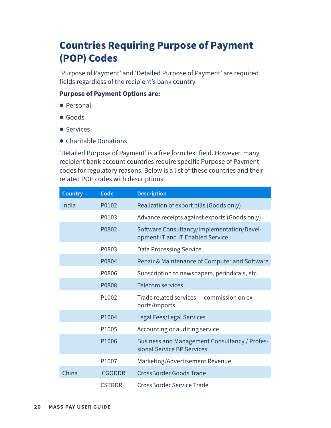# <span id="page-19-0"></span>**Countries Requiring Purpose of Payment (POP) Codes**

'Purpose of Payment' and 'Detailed Purpose of Payment' are required fields regardless of the recipient's bank country.

#### **Purpose of Payment Options are:**

- **●** Personal
- **●** Goods
- **●** Services
- **●** Charitable Donations

'Detailed Purpose of Payment' is a free form text field. However, many recipient bank account countries require specific Purpose of Payment codes for regulatory reasons. Below is a list of these countries and their related POP codes with descriptions:

| <b>Country</b> | Code              | <b>Description</b>                                                             |
|----------------|-------------------|--------------------------------------------------------------------------------|
| India          | P0102             | Realization of export bills (Goods only)                                       |
|                | P0103             | Advance receipts against exports (Goods only)                                  |
|                | P0802             | Software Consultancy/Implementation/Devel-<br>opment IT and IT Enabled Service |
|                | P0803             | <b>Data Processing Service</b>                                                 |
|                | P0804             | Repair & Maintenance of Computer and Software                                  |
|                | P0806             | Subscription to newspapers, periodicals, etc.                                  |
|                | P0808             | <b>Telecom services</b>                                                        |
|                | P <sub>1002</sub> | Trade related services - commission on ex-<br>ports/imports                    |
|                | P1004             | Legal Fees/Legal Services                                                      |
|                | P1005             | Accounting or auditing service                                                 |
|                | P <sub>1006</sub> | Business and Management Consultancy / Profes-<br>sional Service BP Services    |
|                | P1007             | Marketing/Advertisement Revenue                                                |
| China          | <b>CGODDR</b>     | <b>CrossBorder Goods Trade</b>                                                 |
|                | <b>CSTRDR</b>     | <b>CrossBorder Service Trade</b>                                               |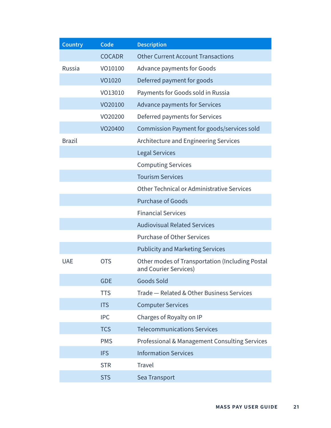| <b>Country</b> | Code          | <b>Description</b>                                                       |
|----------------|---------------|--------------------------------------------------------------------------|
|                | <b>COCADR</b> | <b>Other Current Account Transactions</b>                                |
| Russia         | VO10100       | Advance payments for Goods                                               |
|                | VO1020        | Deferred payment for goods                                               |
|                | VO13010       | Payments for Goods sold in Russia                                        |
|                | VO20100       | Advance payments for Services                                            |
|                | VO20200       | Deferred payments for Services                                           |
|                | VO20400       | Commission Payment for goods/services sold                               |
| <b>Brazil</b>  |               | Architecture and Engineering Services                                    |
|                |               | <b>Legal Services</b>                                                    |
|                |               | <b>Computing Services</b>                                                |
|                |               | <b>Tourism Services</b>                                                  |
|                |               | Other Technical or Administrative Services                               |
|                |               | <b>Purchase of Goods</b>                                                 |
|                |               | <b>Financial Services</b>                                                |
|                |               | <b>Audiovisual Related Services</b>                                      |
|                |               | <b>Purchase of Other Services</b>                                        |
|                |               | <b>Publicity and Marketing Services</b>                                  |
| <b>UAE</b>     | <b>OTS</b>    | Other modes of Transportation (Including Postal<br>and Courier Services) |
|                | <b>GDE</b>    | Goods Sold                                                               |
|                | <b>TTS</b>    | Trade - Related & Other Business Services                                |
|                | <b>ITS</b>    | <b>Computer Services</b>                                                 |
|                | <b>IPC</b>    | Charges of Royalty on IP                                                 |
|                | <b>TCS</b>    | <b>Telecommunications Services</b>                                       |
|                | <b>PMS</b>    | Professional & Management Consulting Services                            |
|                | <b>IFS</b>    | <b>Information Services</b>                                              |
|                | <b>STR</b>    | Travel                                                                   |
|                | <b>STS</b>    | Sea Transport                                                            |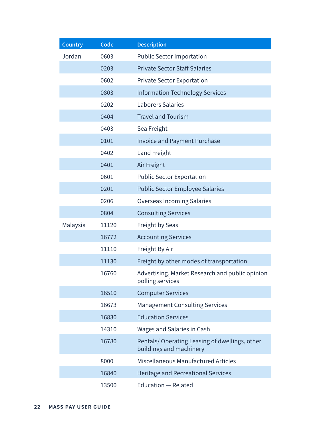| <b>Country</b> | Code  | <b>Description</b>                                                       |
|----------------|-------|--------------------------------------------------------------------------|
| Jordan         | 0603  | <b>Public Sector Importation</b>                                         |
|                | 0203  | <b>Private Sector Staff Salaries</b>                                     |
|                | 0602  | <b>Private Sector Exportation</b>                                        |
|                | 0803  | <b>Information Technology Services</b>                                   |
|                | 0202  | <b>Laborers Salaries</b>                                                 |
|                | 0404  | <b>Travel and Tourism</b>                                                |
|                | 0403  | Sea Freight                                                              |
|                | 0101  | <b>Invoice and Payment Purchase</b>                                      |
|                | 0402  | Land Freight                                                             |
|                | 0401  | Air Freight                                                              |
|                | 0601  | <b>Public Sector Exportation</b>                                         |
|                | 0201  | <b>Public Sector Employee Salaries</b>                                   |
|                | 0206  | <b>Overseas Incoming Salaries</b>                                        |
|                | 0804  | <b>Consulting Services</b>                                               |
| Malaysia       | 11120 | Freight by Seas                                                          |
|                | 16772 | <b>Accounting Services</b>                                               |
|                | 11110 | Freight By Air                                                           |
|                | 11130 | Freight by other modes of transportation                                 |
|                | 16760 | Advertising, Market Research and public opinion<br>polling services      |
|                | 16510 | <b>Computer Services</b>                                                 |
|                | 16673 | <b>Management Consulting Services</b>                                    |
|                | 16830 | <b>Education Services</b>                                                |
|                | 14310 | <b>Wages and Salaries in Cash</b>                                        |
|                | 16780 | Rentals/Operating Leasing of dwellings, other<br>buildings and machinery |
|                | 8000  | Miscellaneous Manufactured Articles                                      |
|                | 16840 | Heritage and Recreational Services                                       |
|                | 13500 | <b>Education - Related</b>                                               |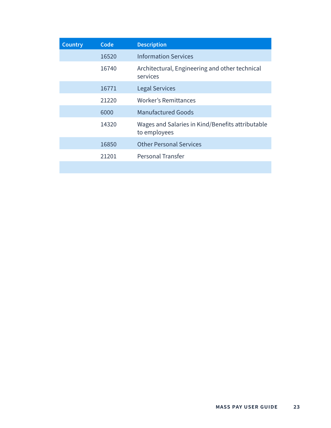| <b>Country</b> | Code  | <b>Description</b>                                               |
|----------------|-------|------------------------------------------------------------------|
|                | 16520 | <b>Information Services</b>                                      |
|                | 16740 | Architectural, Engineering and other technical<br>services       |
|                | 16771 | <b>Legal Services</b>                                            |
|                | 21220 | Worker's Remittances                                             |
|                | 6000  | <b>Manufactured Goods</b>                                        |
|                | 14320 | Wages and Salaries in Kind/Benefits attributable<br>to employees |
|                | 16850 | <b>Other Personal Services</b>                                   |
|                | 21201 | Personal Transfer                                                |
|                |       |                                                                  |